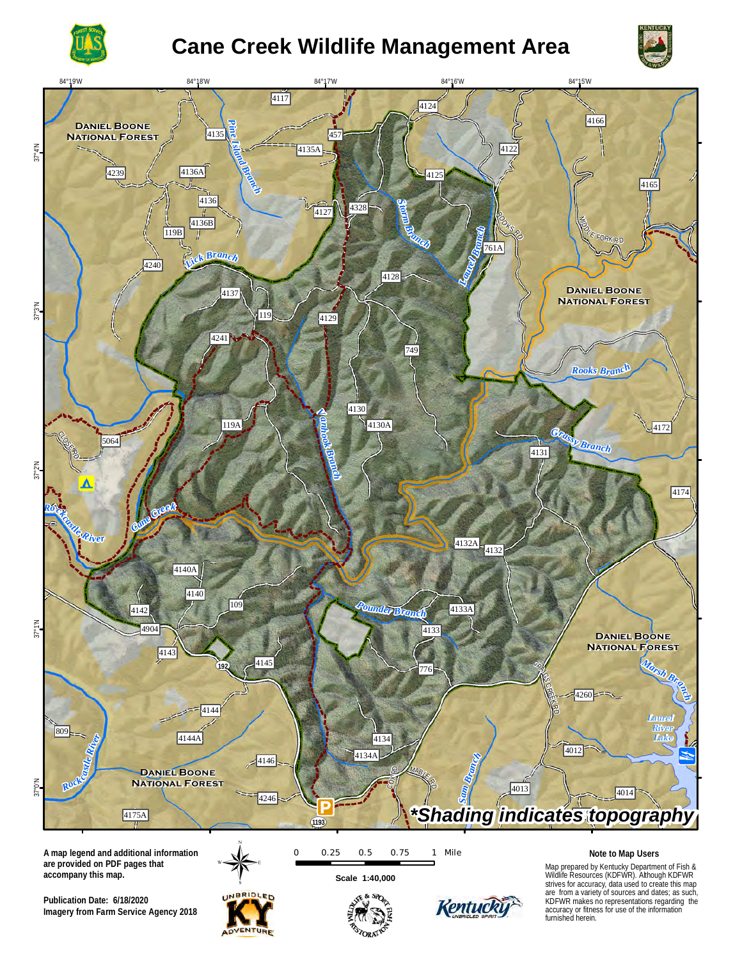

# **Cane Creek Wildlife Management Area**



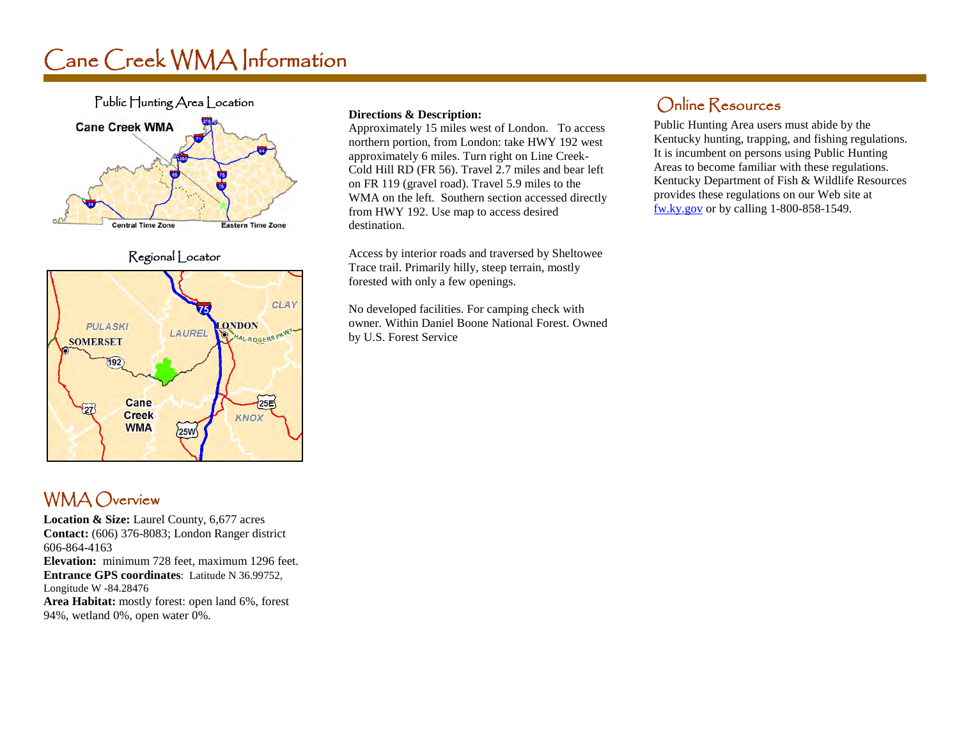# Cane Creek WMA Information



Regional Locator



### WMA Overview

**Location & Size:** Laurel County, 6,677 acres **Contact:** (606) 376-8083; London Ranger district 606-864-4163 **Elevation:** minimum 728 feet, maximum 1296 feet. **Entrance GPS coordinates**: Latitude N 36.99752, Longitude W -84.28476 **Area Habitat:** mostly forest: open land 6%, forest 94%, wetland 0%, open water 0%.

#### **Directions & Description:**

Approximately 15 miles west of London. To access northern portion, from London: take HWY 192 west approximately 6 miles. Turn right on Line Creek-Cold Hill RD (FR 56). Travel 2.7 miles and bear left on FR 119 (gravel road). Travel 5.9 miles to the WMA on the left. Southern section accessed directly from HWY 192. Use map to access desired destination.

Access by interior roads and traversed by Sheltowee Trace trail. Primarily hilly, steep terrain, mostly forested with only a few openings.

No developed facilities. For camping check with owner. Within Daniel Boone National Forest. Owned by U.S. Forest Service

### Online Resources

Public Hunting Area users must abide by the Kentucky hunting, trapping, and fishing regulations. It is incumbent on persons using Public Hunting Areas to become familiar with these regulations. Kentucky Department of Fish & Wildlife Resources provides these regulations on our Web site at [fw.ky.gov](http://fw.ky.gov/) or by calling 1-800-858-1549.